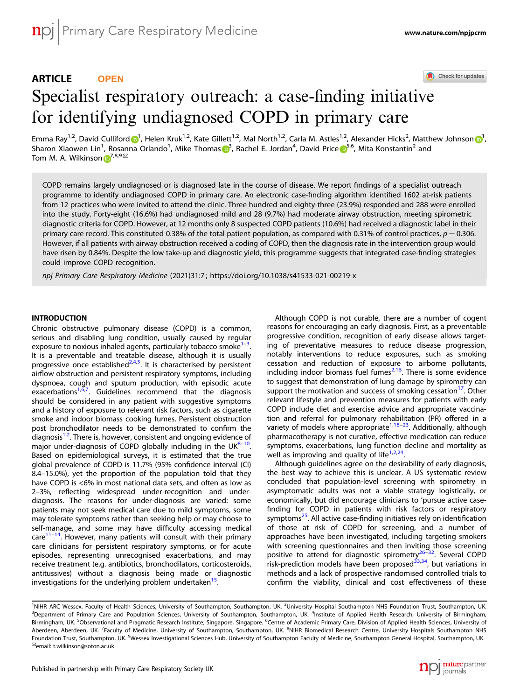# ARTICLE **OPEN**

Check for updates

# Specialist respiratory outreach: a case-finding initiati[v](http://crossmark.crossref.org/dialog/?doi=10.1038/s41533-021-00219-x&domain=pdf)e for identifying undiagnosed COPD in primary care

Emma Ray<sup>1,2</sup>, Davi[d](http://orcid.org/0000-0003-1663-0253) Culliford <mark>o</mark><sup>[1](http://orcid.org/0000-0001-5597-6615)</sup>, Helen Kruk<sup>1,2</sup>, Kate Gillett<sup>1,2</sup>, Mal North<sup>1,2</sup>, Carla M. Astles<sup>1,2</sup>, Alexander Hicks<sup>2</sup>, Matthew Johnson o<sup>1</sup>, Sharon Xiaowen Lin<sup>1</sup>, Rosanna Orlando<sup>1</sup>, Mike Thomas <mark>o[3](http://orcid.org/0000-0001-5939-1155)</mark>, Rachel E. Jordan<sup>4</sup>, David Price o<sup>[5](http://orcid.org/0000-0002-9728-9992),6</sup>, Mita Konstantin<sup>2</sup> and Tom M. A. Wilkinson  $\mathbb{D}^{7,8,9\boxtimes}$  $\mathbb{D}^{7,8,9\boxtimes}$  $\mathbb{D}^{7,8,9\boxtimes}$ 

COPD remains largely undiagnosed or is diagnosed late in the course of disease. We report findings of a specialist outreach programme to identify undiagnosed COPD in primary care. An electronic case-finding algorithm identified 1602 at-risk patients from 12 practices who were invited to attend the clinic. Three hundred and eighty-three (23.9%) responded and 288 were enrolled into the study. Forty-eight (16.6%) had undiagnosed mild and 28 (9.7%) had moderate airway obstruction, meeting spirometric diagnostic criteria for COPD. However, at 12 months only 8 suspected COPD patients (10.6%) had received a diagnostic label in their primary care record. This constituted 0.38% of the total patient population, as compared with 0.31% of control practices,  $p = 0.306$ . However, if all patients with airway obstruction received a coding of COPD, then the diagnosis rate in the intervention group would have risen by 0.84%. Despite the low take-up and diagnostic yield, this programme suggests that integrated case-finding strategies could improve COPD recognition.

npj Primary Care Respiratory Medicine (2021) 31:7 ; https://doi.org/1[0.1038/s41533-021-00219-x](https://doi.org/10.1038/s41533-021-00219-x)

## **INTRODUCTION**

Chronic obstructive pulmonary disease (COPD) is a common, serious and disabling lung condition, usually caused by regular exposure to noxious inhaled agents, particularly tobacco smoke<sup>1–</sup> . It is a preventable and treatable disease, although it is usually progressive once established<sup>[2](#page-5-0),[4,5](#page-5-0)</sup>. It is characterised by persistent airflow obstruction and persistent respiratory symptoms, including dyspnoea, cough and sputum production, with episodic acute exacerbations<sup>1,6,[7](#page-5-0)</sup>. Guidelines recommend that the diagnosis should be considered in any patient with suggestive symptoms and a history of exposure to relevant risk factors, such as cigarette smoke and indoor biomass cooking fumes. Persistent obstruction post bronchodilator needs to be demonstrated to confirm the .<br>diagnosis<sup>[1,2](#page-5-0)</sup>. There is, however, consistent and ongoing evidence of major under-diagnosis of COPD globally including in the UK $^{8-10}$  $^{8-10}$  $^{8-10}$  $^{8-10}$  $^{8-10}$ . Based on epidemiological surveys, it is estimated that the true global prevalence of COPD is 11.7% (95% confidence interval (CI) 8.4–15.0%), yet the proportion of the population told that they have COPD is <6% in most national data sets, and often as low as 2–3%, reflecting widespread under-recognition and underdiagnosis. The reasons for under-diagnosis are varied: some patients may not seek medical care due to mild symptoms, some may tolerate symptoms rather than seeking help or may choose to self-manage, and some may have difficulty accessing medical  $care<sup>11–14</sup>$  $care<sup>11–14</sup>$  $care<sup>11–14</sup>$ . However, many patients will consult with their primary care clinicians for persistent respiratory symptoms, or for acute episodes, representing unrecognised exacerbations, and may receive treatment (e.g. antibiotics, bronchodilators, corticosteroids, antitussives) without a diagnosis being made or diagnostic investigations for the underlying problem undertaken<sup>[15](#page-6-0)</sup>.

Although COPD is not curable, there are a number of cogent reasons for encouraging an early diagnosis. First, as a preventable progressive condition, recognition of early disease allows targeting of preventative measures to reduce disease progression, notably interventions to reduce exposures, such as smoking cessation and reduction of exposure to airborne pollutants, including indoor biomass fuel fumes<sup>[2,](#page-5-0)[16](#page-6-0)</sup>. There is some evidence to suggest that demonstration of lung damage by spirometry can support the motivation and success of smoking cessation<sup>[17](#page-6-0)</sup>. Other relevant lifestyle and prevention measures for patients with early COPD include diet and exercise advice and appropriate vaccination and referral for pulmonary rehabilitation (PR) offered in a variety of models where appropriate<sup>[1,](#page-5-0)[18](#page-6-0)–[23](#page-6-0)</sup>. Additionally, although pharmacotherapy is not curative, effective medication can reduce symptoms, exacerbations, lung function decline and mortality as well as improving and quality of life<sup>[1,2](#page-5-0)[,24](#page-6-0)</sup>.

Although guidelines agree on the desirability of early diagnosis, the best way to achieve this is unclear. A US systematic review concluded that population-level screening with spirometry in asymptomatic adults was not a viable strategy logistically, or economically, but did encourage clinicians to 'pursue active casefinding for COPD in patients with risk factors or respiratory symptoms<sup>25</sup>. All active case-finding initiatives rely on identification of those at risk of COPD for screening, and a number of approaches have been investigated, including targeting smokers with screening questionnaires and then inviting those screening<br>positive to attend for diagnostic spirometry<sup>[26](#page-6-0)–32</sup>. Several COPD risk-prediction models have been proposed<sup>[33,34](#page-6-0)</sup>, but variations in methods and a lack of prospective randomised controlled trials to confirm the viability, clinical and cost effectiveness of these



<sup>&</sup>lt;sup>1</sup>NIHR ARC Wessex, Faculty of Health Sciences, University of Southampton, Southampton, UK. <sup>2</sup>University Hospital Southampton NHS Foundation Trust, Southampton, UK. <sup>3</sup>Department of Primary Care and Population Sciences, University of Southampton, Southampton, UK. <sup>4</sup>Institute of Applied Health Research, University of Birmingham, Birmingham, UK. <sup>5</sup>Observational and Pragmatic Research Institute, Singapore, Singapore. <sup>6</sup>Centre of Academic Primary Care, Division of Applied Health Sciences, University of Aberdeen, Aberdeen, UK. <sup>7</sup>Faculty of Medicine, University of Southampton, Southampton, UK. <sup>8</sup>NIHR Biomedical Research Centre, University Hospitals Southampton NHS Foundation Trust, Southampton, UK. <sup>9</sup>Wessex Investigational Sciences Hub, University of Southampton Faculty of Medicine, Southampton General Hospital, Southampton, UK<br><sup>⊠</sup>email: [t.wilkinson@soton.ac.uk](mailto:t.wilkinson@soton.ac.uk)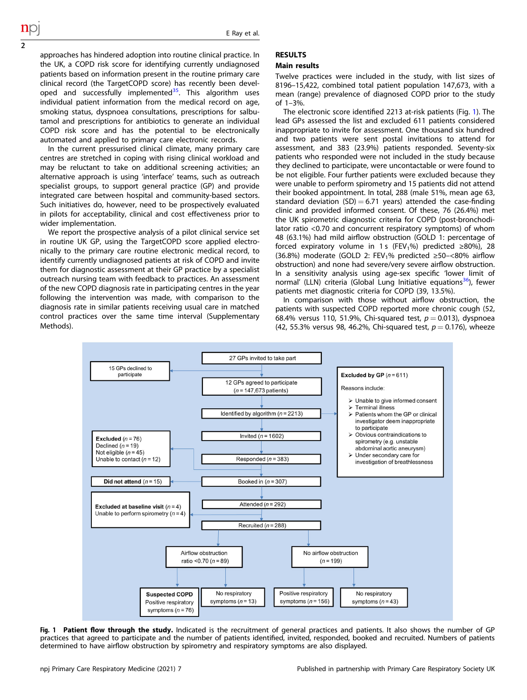approaches has hindered adoption into routine clinical practice. In the UK, a COPD risk score for identifying currently undiagnosed patients based on information present in the routine primary care clinical record (the TargetCOPD score) has recently been developed and successfully implemented<sup>35</sup>. This algorithm uses individual patient information from the medical record on age, smoking status, dyspnoea consultations, prescriptions for salbutamol and prescriptions for antibiotics to generate an individual COPD risk score and has the potential to be electronically automated and applied to primary care electronic records.

2

In the current pressurised clinical climate, many primary care centres are stretched in coping with rising clinical workload and may be reluctant to take on additional screening activities; an alternative approach is using 'interface' teams, such as outreach specialist groups, to support general practice (GP) and provide integrated care between hospital and community-based sectors. Such initiatives do, however, need to be prospectively evaluated in pilots for acceptability, clinical and cost effectiveness prior to wider implementation.

We report the prospective analysis of a pilot clinical service set in routine UK GP, using the TargetCOPD score applied electronically to the primary care routine electronic medical record, to identify currently undiagnosed patients at risk of COPD and invite them for diagnostic assessment at their GP practice by a specialist outreach nursing team with feedback to practices. An assessment of the new COPD diagnosis rate in participating centres in the year following the intervention was made, with comparison to the diagnosis rate in similar patients receiving usual care in matched control practices over the same time interval (Supplementary Methods).

## RESULTS

# Main results

Twelve practices were included in the study, with list sizes of 8196–15,422, combined total patient population 147,673, with a mean (range) prevalence of diagnosed COPD prior to the study of 1–3%.

The electronic score identified 2213 at-risk patients (Fig. 1). The lead GPs assessed the list and excluded 611 patients considered inappropriate to invite for assessment. One thousand six hundred and two patients were sent postal invitations to attend for assessment, and 383 (23.9%) patients responded. Seventy-six patients who responded were not included in the study because they declined to participate, were uncontactable or were found to be not eligible. Four further patients were excluded because they were unable to perform spirometry and 15 patients did not attend their booked appointment. In total, 288 (male 51%, mean age 63, standard deviation  $(SD) = 6.71$  years) attended the case-finding clinic and provided informed consent. Of these, 76 (26.4%) met the UK spirometric diagnostic criteria for COPD (post-bronchodilator ratio <0.70 and concurrent respiratory symptoms) of whom 48 (63.1%) had mild airflow obstruction (GOLD 1: percentage of forced expiratory volume in 1 s (FEV<sub>1</sub>%) predicted ≥80%), 28 (36.8%) moderate (GOLD 2: FEV<sub>1</sub>% predicted  $\geq$ 50-<80% airflow obstruction) and none had severe/very severe airflow obstruction. In a sensitivity analysis using age-sex specific 'lower limit of normal' (LLN) criteria (Global Lung Initiative equations<sup>[36](#page-6-0)</sup>), fewer patients met diagnostic criteria for COPD (39, 13.5%).

In comparison with those without airflow obstruction, the patients with suspected COPD reported more chronic cough (52, 68.4% versus 110, 51.9%, Chi-squared test,  $p = 0.013$ ), dyspnoea (42, 55.3% versus 98, 46.2%, Chi-squared test,  $p = 0.176$ ), wheeze



Fig. 1 Patient flow through the study. Indicated is the recruitment of general practices and patients. It also shows the number of GP practices that agreed to participate and the number of patients identified, invited, responded, booked and recruited. Numbers of patients determined to have airflow obstruction by spirometry and respiratory symptoms are also displayed.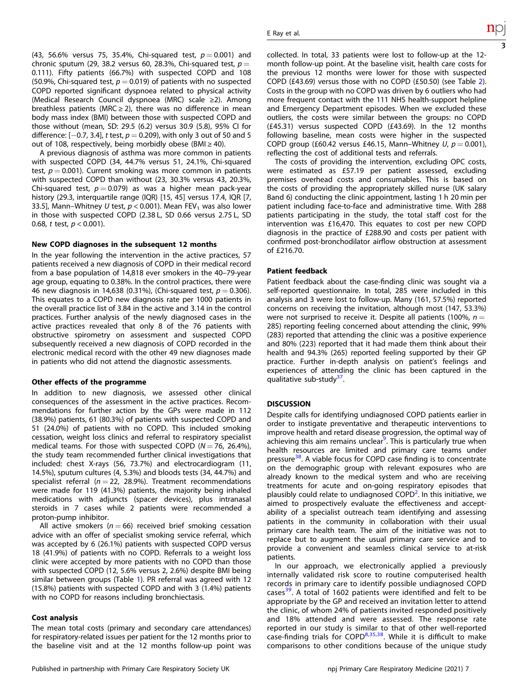(43, 56.6% versus 75, 35.4%, Chi-squared test,  $p = 0.001$ ) and chronic sputum (29, 38.2 versus 60, 28.3%, Chi-squared test,  $p =$ 0.111). Fifty patients (66.7%) with suspected COPD and 108 (50.9%, Chi-squared test,  $p = 0.019$ ) of patients with no suspected COPD reported significant dyspnoea related to physical activity (Medical Research Council dyspnoea (MRC) scale ≥2). Among breathless patients (MRC  $\geq$  2), there was no difference in mean body mass index (BMI) between those with suspected COPD and those without (mean, SD: 29.5 (6.2) versus 30.9 (5.8), 95% CI for difference:  $[-0.7, 3.4]$ , t test,  $p = 0.209$ ), with only 3 out of 50 and 5 out of 108, respectively, being morbidly obese (BMI  $\geq$  40).

A previous diagnosis of asthma was more common in patients with suspected COPD (34, 44.7% versus 51, 24.1%, Chi-squared test,  $p = 0.001$ ). Current smoking was more common in patients with suspected COPD than without (23, 30.3% versus 43, 20.3%, Chi-squared test,  $p = 0.079$ ) as was a higher mean pack-year history (29.3, interquartile range (IQR) [15, 45] versus 17.4, IQR [7, 33.5], Mann–Whitney U test,  $p < 0.001$ ). Mean FEV<sub>1</sub> was also lower in those with suspected COPD (2.38 L, SD 0.66 versus 2.75 L, SD 0.68, t test,  $p < 0.001$ ).

## New COPD diagnoses in the subsequent 12 months

In the year following the intervention in the active practices, 57 patients received a new diagnosis of COPD in their medical record from a base population of 14,818 ever smokers in the 40–79-year age group, equating to 0.38%. In the control practices, there were 46 new diagnosis in 14,638 (0.31%), (Chi-squared test,  $p = 0.306$ ). This equates to a COPD new diagnosis rate per 1000 patients in the overall practice list of 3.84 in the active and 3.14 in the control practices. Further analysis of the newly diagnosed cases in the active practices revealed that only 8 of the 76 patients with obstructive spirometry on assessment and suspected COPD subsequently received a new diagnosis of COPD recorded in the electronic medical record with the other 49 new diagnoses made in patients who did not attend the diagnostic assessments.

## Other effects of the programme

In addition to new diagnosis, we assessed other clinical consequences of the assessment in the active practices. Recommendations for further action by the GPs were made in 112 (38.9%) patients, 61 (80.3%) of patients with suspected COPD and 51 (24.0%) of patients with no COPD. This included smoking cessation, weight loss clinics and referral to respiratory specialist medical teams. For those with suspected COPD ( $N = 76$ , 26.4%), the study team recommended further clinical investigations that included: chest X-rays (56, 73.7%) and electrocardiogram (11, 14.5%), sputum cultures (4, 5.3%) and bloods tests (34, 44.7%) and specialist referral ( $n = 22$ , 28.9%). Treatment recommendations were made for 119 (41.3%) patients, the majority being inhaled medications with adjuncts (spacer devices), plus intranasal steroids in 7 cases while 2 patients were recommended a proton-pump inhibitor.

All active smokers ( $n = 66$ ) received brief smoking cessation advice with an offer of specialist smoking service referral, which was accepted by 6 (26.1%) patients with suspected COPD versus 18 (41.9%) of patients with no COPD. Referrals to a weight loss clinic were accepted by more patients with no COPD than those with suspected COPD (12, 5.6% versus 2, 2.6%) despite BMI being similar between groups (Table [1\)](#page-3-0). PR referral was agreed with 12 (15.8%) patients with suspected COPD and with 3 (1.4%) patients with no COPD for reasons including bronchiectasis.

# Cost analysis

The mean total costs (primary and secondary care attendances) for respiratory-related issues per patient for the 12 months prior to the baseline visit and at the 12 months follow-up point was collected. In total, 33 patients were lost to follow-up at the 12 month follow-up point. At the baseline visit, health care costs for the previous 12 months were lower for those with suspected COPD (£43.69) versus those with no COPD (£50.50) (see Table [2\)](#page-4-0). Costs in the group with no COPD was driven by 6 outliers who had more frequent contact with the 111 NHS health-support helpline and Emergency Department episodes. When we excluded these outliers, the costs were similar between the groups: no COPD (£45.31) versus suspected COPD (£43.69). In the 12 months following baseline, mean costs were higher in the suspected COPD group (£60.42 versus £46.15, Mann–Whitney  $U, p = 0.001$ ), reflecting the cost of additional tests and referrals.

The costs of providing the intervention, excluding OPC costs, were estimated as £57.19 per patient assessed, excluding premises overhead costs and consumables. This is based on the costs of providing the appropriately skilled nurse (UK salary Band 6) conducting the clinic appointment, lasting 1 h 20 min per patient including face-to-face and administrative time. With 288 patients participating in the study, the total staff cost for the intervention was £16,470. This equates to cost per new COPD diagnosis in the practice of £288.90 and costs per patient with confirmed post-bronchodilator airflow obstruction at assessment of £216.70.

## Patient feedback

Patient feedback about the case-finding clinic was sought via a self-reported questionnaire. In total, 285 were included in this analysis and 3 were lost to follow-up. Many (161, 57.5%) reported concerns on receiving the invitation, although most (147, 53.3%) were not surprised to receive it. Despite all patients (100%,  $n =$ 285) reporting feeling concerned about attending the clinic, 99% (283) reported that attending the clinic was a positive experience and 80% (223) reported that it had made them think about their health and 94.3% (265) reported feeling supported by their GP practice. Further in-depth analysis on patient's feelings and experiences of attending the clinic has been captured in the qualitative sub-study<sup>37</sup>.

## **DISCUSSION**

Despite calls for identifying undiagnosed COPD patients earlier in order to instigate preventative and therapeutic interventions to improve health and retard disease progression, the optimal way of achieving this aim remains unclear<sup>9</sup>. This is particularly true when health resources are limited and primary care teams under pressure<sup>[38](#page-6-0)</sup>. A viable focus for COPD case finding is to concentrate on the demographic group with relevant exposures who are already known to the medical system and who are receiving treatments for acute and on-going respiratory episodes that plausibly could relate to undiagnosed COPD<sup>[2](#page-5-0)</sup>. In this initiative, we aimed to prospectively evaluate the effectiveness and acceptability of a specialist outreach team identifying and assessing patients in the community in collaboration with their usual primary care health team. The aim of the initiative was not to replace but to augment the usual primary care service and to provide a convenient and seamless clinical service to at-risk patients.

In our approach, we electronically applied a previously internally validated risk score to routine computerised health records in primary care to identify possible undiagnosed COPD cases<sup>39</sup>. A total of 1602 patients were identified and felt to be appropriate by the GP and received an invitation letter to attend the clinic, of whom 24% of patients invited responded positively and 18% attended and were assessed. The response rate reported in our study is similar to that of other well-reported case-finding trials for  $COPD<sup>8,35,38</sup>$  $COPD<sup>8,35,38</sup>$  $COPD<sup>8,35,38</sup>$  $COPD<sup>8,35,38</sup>$  $COPD<sup>8,35,38</sup>$ . While it is difficult to make comparisons to other conditions because of the unique study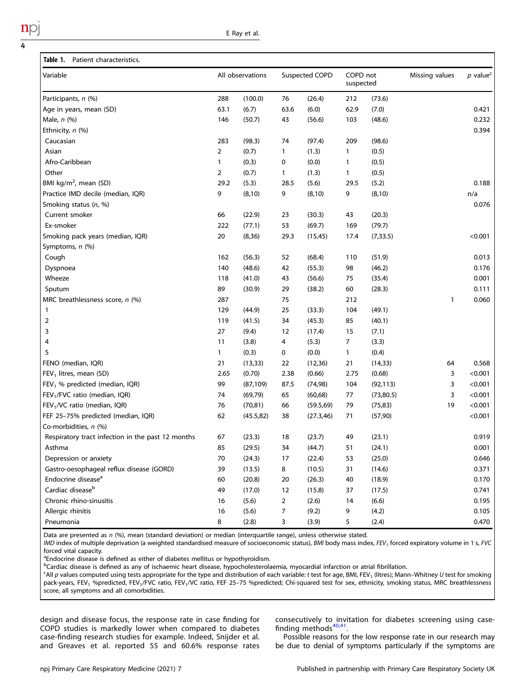<span id="page-3-0"></span>

| Variable                                          | All observations |            | Suspected COPD |            | COPD not<br>suspected |            | Missing values | $p$ value <sup>c</sup> |
|---------------------------------------------------|------------------|------------|----------------|------------|-----------------------|------------|----------------|------------------------|
| Participants, n (%)                               | 288              | (100.0)    | 76             | (26.4)     | 212                   | (73.6)     |                |                        |
| Age in years, mean (SD)                           | 63.1             | (6.7)      | 63.6           | (6.0)      | 62.9                  | (7.0)      |                | 0.421                  |
| Male, $n$ (%)                                     | 146              | (50.7)     | 43             | (56.6)     | 103                   | (48.6)     |                | 0.232                  |
| Ethnicity, n (%)                                  |                  |            |                |            |                       |            |                | 0.394                  |
| Caucasian                                         | 283              | (98.3)     | 74             | (97.4)     | 209                   | (98.6)     |                |                        |
| Asian                                             | 2                | (0.7)      | 1              | (1.3)      | 1                     | (0.5)      |                |                        |
| Afro-Caribbean                                    | 1                | (0.3)      | 0              | (0.0)      | 1                     | (0.5)      |                |                        |
| Other                                             | 2                | (0.7)      | 1              | (1.3)      | 1                     | (0.5)      |                |                        |
| BMI kg/m <sup>2</sup> , mean (SD)                 | 29.2             | (5.3)      | 28.5           | (5.6)      | 29.5                  | (5.2)      |                | 0.188                  |
| Practice IMD decile (median, IQR)                 | 9                | (8, 10)    | 9              | (8, 10)    | 9                     | (8, 10)    |                | n/a                    |
| Smoking status (n, %)                             |                  |            |                |            |                       |            |                | 0.076                  |
| Current smoker                                    | 66               | (22.9)     | 23             | (30.3)     | 43                    | (20.3)     |                |                        |
| Ex-smoker                                         | 222              | (77.1)     | 53             | (69.7)     | 169                   | (79.7)     |                |                        |
| Smoking pack years (median, IQR)                  | 20               | (8, 36)    | 29.3           | (15, 45)   | 17.4                  | (7, 33.5)  |                | < 0.001                |
| Symptoms, n (%)                                   |                  |            |                |            |                       |            |                |                        |
| Cough                                             | 162              | (56.3)     | 52             | (68.4)     | 110                   | (51.9)     |                | 0.013                  |
| Dyspnoea                                          | 140              | (48.6)     | 42             | (55.3)     | 98                    | (46.2)     |                | 0.176                  |
| Wheeze                                            | 118              | (41.0)     | 43             | (56.6)     | 75                    | (35.4)     |                | 0.001                  |
| Sputum                                            | 89               | (30.9)     | 29             | (38.2)     | 60                    | (28.3)     |                | 0.111                  |
| MRC breathlessness score, $n$ (%)                 | 287              |            | 75             |            | 212                   |            | $\mathbf{1}$   | 0.060                  |
| 1                                                 | 129              | (44.9)     | 25             | (33.3)     | 104                   | (49.1)     |                |                        |
| 2                                                 | 119              | (41.5)     | 34             | (45.3)     | 85                    | (40.1)     |                |                        |
| 3                                                 | 27               | (9.4)      | 12             | (17.4)     | 15                    | (7.1)      |                |                        |
| 4                                                 | 11               | (3.8)      | 4              | (5.3)      | 7                     | (3.3)      |                |                        |
| 5                                                 | 1                | (0.3)      | 0              | (0.0)      | $\mathbf{1}$          | (0.4)      |                |                        |
| FENO (median, IQR)                                | 21               | (13, 33)   | 22             | (12, 36)   | 21                    | (14, 33)   | 64             | 0.568                  |
| $FEV1$ litres, mean (SD)                          | 2.65             | (0.70)     | 2.38           | (0.66)     | 2.75                  | (0.68)     | 3              | < 0.001                |
| FEV <sub>1</sub> % predicted (median, IQR)        | 99               | (87, 109)  | 87.5           | (74, 98)   | 104                   | (92, 113)  | 3              | < 0.001                |
| FEV <sub>1</sub> /FVC ratio (median, IQR)         | 74               | (69, 79)   | 65             | (60, 68)   | 77                    | (73, 80.5) | 3              | < 0.001                |
| FEV <sub>1</sub> /VC ratio (median, IQR)          | 76               | (70, 81)   | 66             | (59.5,69)  | 79                    | (75, 83)   | 19             | < 0.001                |
| FEF 25-75% predicted (median, IQR)                | 62               | (45.5, 82) | 38             | (27.3, 46) | 71                    | (57, 90)   |                | < 0.001                |
| Co-morbidities, n (%)                             |                  |            |                |            |                       |            |                |                        |
| Respiratory tract infection in the past 12 months | 67               | (23.3)     | 18             | (23.7)     | 49                    | (23.1)     |                | 0.919                  |
| Asthma                                            | 85               | (29.5)     | 34             | (44.7)     | 51                    | (24.1)     |                | 0.001                  |
| Depression or anxiety                             | 70               | (24.3)     | 17             | (22.4)     | 53                    | (25.0)     |                | 0.646                  |
| Gastro-oesophageal reflux disease (GORD)          | 39               | (13.5)     | 8              | (10.5)     | 31                    | (14.6)     |                | 0.371                  |
| Endocrine disease <sup>a</sup>                    | 60               | (20.8)     | 20             | (26.3)     | 40                    | (18.9)     |                | 0.170                  |
| Cardiac disease <sup>b</sup>                      | 49               | (17.0)     | 12             | (15.8)     | 37                    | (17.5)     |                | 0.741                  |
| Chronic rhino-sinusitis                           | 16               | (5.6)      | $\overline{2}$ | (2.6)      | 14                    | (6.6)      |                | 0.195                  |
| Allergic rhinitis                                 | 16               | (5.6)      | 7              | (9.2)      | 9                     | (4.2)      |                | 0.105                  |
| Pneumonia                                         | 8                | (2.8)      | 3              | (3.9)      | 5                     | (2.4)      |                | 0.470                  |

Data are presented as n (%), mean (standard deviation) or median (interquartile range), unless otherwise stated.

IMD index of multiple deprivation (a weighted standardised measure of socioeconomic status), BMI body mass index, FEV<sub>1</sub> forced expiratory volume in 1 s, FVC forced vital capacity.

<sup>a</sup> Endocrine disease is defined as either of diabetes mellitus or hypothyroidism.<br>Protelias disease is defined as any of ischaemic beart disease, hypocholosterely

<sup>b</sup>Cardiac disease is defined as any of ischaemic heart disease, hypocholesterolaemia, myocardial infarction or atrial fibrillation.

 $c$ All p values computed using tests appropriate for the type and distribution of each variable: t test for age, BMI, FEV<sub>1</sub> (litres); Mann-Whitney U test for smoking pack-years, FEV<sub>1</sub> %predicted, FEV<sub>1</sub>/FVC ratio, FEV<sub>1</sub>/VC ratio, FEF 25-75 %predicted; Chi-squared test for sex, ethnicity, smoking status, MRC breathlessness score, all symptoms and all comorbidities.

design and disease focus, the response rate in case finding for COPD studies is markedly lower when compared to diabetes case-finding research studies for example. Indeed, Snijder et al. and Greaves et al. reported 55 and 60.6% response rates

consecutively to invitation for diabetes screening using casefinding methods $40,41$  $40,41$ .

Possible reasons for the low response rate in our research may be due to denial of symptoms particularly if the symptoms are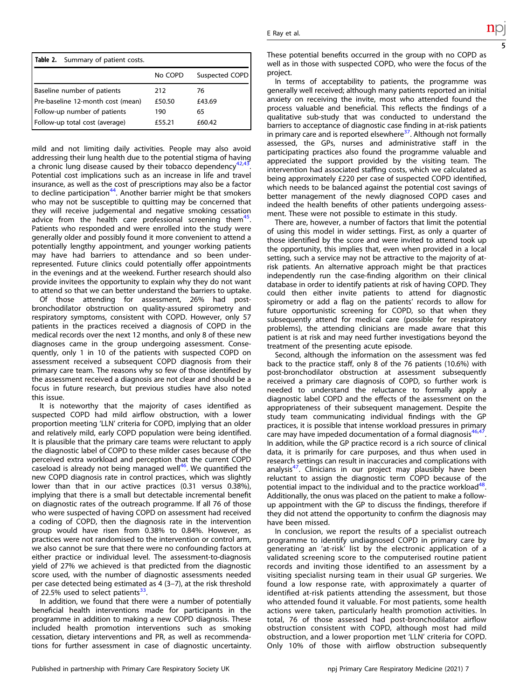<span id="page-4-0"></span>

| Table 2. Summary of patient costs. |         |                |  |  |  |  |  |
|------------------------------------|---------|----------------|--|--|--|--|--|
|                                    | No COPD | Suspected COPD |  |  |  |  |  |
| Baseline number of patients        | 212     | 76             |  |  |  |  |  |
| Pre-baseline 12-month cost (mean)  | £50.50  | £43.69         |  |  |  |  |  |
| Follow-up number of patients       | 190     | 65             |  |  |  |  |  |
| Follow-up total cost (average)     | £55.21  | £60.42         |  |  |  |  |  |

mild and not limiting daily activities. People may also avoid addressing their lung health due to the potential stigma of having a chronic lung disease caused by their tobacco dependency $42,43$ Potential cost implications such as an increase in life and travel insurance, as well as the cost of prescriptions may also be a factor to decline participation<sup>[44](#page-6-0)</sup>. Another barrier might be that smokers who may not be susceptible to quitting may be concerned that they will receive judgemental and negative smoking cessation advice from the health care professional screening them<sup>[45](#page-6-0)</sup>. Patients who responded and were enrolled into the study were generally older and possibly found it more convenient to attend a potentially lengthy appointment, and younger working patients may have had barriers to attendance and so been underrepresented. Future clinics could potentially offer appointments in the evenings and at the weekend. Further research should also provide invitees the opportunity to explain why they do not want to attend so that we can better understand the barriers to uptake.

Of those attending for assessment, 26% had postbronchodilator obstruction on quality-assured spirometry and respiratory symptoms, consistent with COPD. However, only 57 patients in the practices received a diagnosis of COPD in the medical records over the next 12 months, and only 8 of these new diagnoses came in the group undergoing assessment. Consequently, only 1 in 10 of the patients with suspected COPD on assessment received a subsequent COPD diagnosis from their primary care team. The reasons why so few of those identified by the assessment received a diagnosis are not clear and should be a focus in future research, but previous studies have also noted this issue.

It is noteworthy that the majority of cases identified as suspected COPD had mild airflow obstruction, with a lower proportion meeting 'LLN' criteria for COPD, implying that an older and relatively mild, early COPD population were being identified. It is plausible that the primary care teams were reluctant to apply the diagnostic label of COPD to these milder cases because of the perceived extra workload and perception that the current COPD caseload is already not being managed well $46$ . We quantified the new COPD diagnosis rate in control practices, which was slightly lower than that in our active practices (0.31 versus 0.38%), implying that there is a small but detectable incremental benefit on diagnostic rates of the outreach programme. If all 76 of those who were suspected of having COPD on assessment had received a coding of COPD, then the diagnosis rate in the intervention group would have risen from 0.38% to 0.84%. However, as practices were not randomised to the intervention or control arm, we also cannot be sure that there were no confounding factors at either practice or individual level. The assessment-to-diagnosis yield of 27% we achieved is that predicted from the diagnostic score used, with the number of diagnostic assessments needed per case detected being estimated as 4 (3–7), at the risk threshold of 22.5% used to select patients $33$ .

In addition, we found that there were a number of potentially beneficial health interventions made for participants in the programme in addition to making a new COPD diagnosis. These included health promotion interventions such as smoking cessation, dietary interventions and PR, as well as recommendations for further assessment in case of diagnostic uncertainty. These potential benefits occurred in the group with no COPD as well as in those with suspected COPD, who were the focus of the project.

In terms of acceptability to patients, the programme was generally well received; although many patients reported an initial anxiety on receiving the invite, most who attended found the process valuable and beneficial. This reflects the findings of a qualitative sub-study that was conducted to understand the barriers to acceptance of diagnostic case finding in at-risk patients in primary care and is reported elsewhere<sup>37</sup>. Although not formally assessed, the GPs, nurses and administrative staff in the participating practices also found the programme valuable and appreciated the support provided by the visiting team. The intervention had associated staffing costs, which we calculated as being approximately £220 per case of suspected COPD identified, which needs to be balanced against the potential cost savings of better management of the newly diagnosed COPD cases and indeed the health benefits of other patients undergoing assessment. These were not possible to estimate in this study.

There are, however, a number of factors that limit the potential of using this model in wider settings. First, as only a quarter of those identified by the score and were invited to attend took up the opportunity, this implies that, even when provided in a local setting, such a service may not be attractive to the majority of atrisk patients. An alternative approach might be that practices independently run the case-finding algorithm on their clinical database in order to identify patients at risk of having COPD. They could then either invite patients to attend for diagnostic spirometry or add a flag on the patients' records to allow for future opportunistic screening for COPD, so that when they subsequently attend for medical care (possible for respiratory problems), the attending clinicians are made aware that this patient is at risk and may need further investigations beyond the treatment of the presenting acute episode.

Second, although the information on the assessment was fed back to the practice staff, only 8 of the 76 patients (10.6%) with post-bronchodilator obstruction at assessment subsequently received a primary care diagnosis of COPD, so further work is needed to understand the reluctance to formally apply a diagnostic label COPD and the effects of the assessment on the appropriateness of their subsequent management. Despite the study team communicating individual findings with the GP practices, it is possible that intense workload pressures in primary care may have impeded documentation of a formal diagnosis<sup>46,4</sup> In addition, while the GP practice record is a rich source of clinical data, it is primarily for care purposes, and thus when used in research settings can result in inaccuracies and complications with analysis<sup>47</sup>. Clinicians in our project may plausibly have been reluctant to assign the diagnostic term COPD because of the potential impact to the individual and to the practice workload $48$ . Additionally, the onus was placed on the patient to make a followup appointment with the GP to discuss the findings, therefore if they did not attend the opportunity to confirm the diagnosis may have been missed.

In conclusion, we report the results of a specialist outreach programme to identify undiagnosed COPD in primary care by generating an 'at-risk' list by the electronic application of a validated screening score to the computerised routine patient records and inviting those identified to an assessment by a visiting specialist nursing team in their usual GP surgeries. We found a low response rate, with approximately a quarter of identified at-risk patients attending the assessment, but those who attended found it valuable. For most patients, some health actions were taken, particularly health promotion activities. In total, 76 of those assessed had post-bronchodilator airflow obstruction consistent with COPD, although most had mild obstruction, and a lower proportion met 'LLN' criteria for COPD. Only 10% of those with airflow obstruction subsequently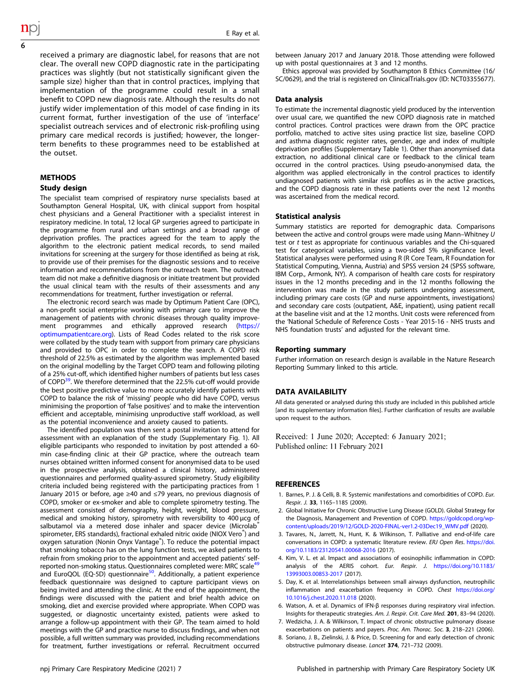<span id="page-5-0"></span>received a primary are diagnostic label, for reasons that are not clear. The overall new COPD diagnostic rate in the participating practices was slightly (but not statistically significant given the sample size) higher than that in control practices, implying that implementation of the programme could result in a small benefit to COPD new diagnosis rate. Although the results do not justify wider implementation of this model of case finding in its current format, further investigation of the use of 'interface' specialist outreach services and of electronic risk-profiling using primary care medical records is justified; however, the longerterm benefits to these programmes need to be established at the outset.

## **METHODS**

## Study design

The specialist team comprised of respiratory nurse specialists based at Southampton General Hospital, UK, with clinical support from hospital chest physicians and a General Practitioner with a specialist interest in respiratory medicine. In total, 12 local GP surgeries agreed to participate in the programme from rural and urban settings and a broad range of deprivation profiles. The practices agreed for the team to apply the algorithm to the electronic patient medical records, to send mailed invitations for screening at the surgery for those identified as being at risk, to provide use of their premises for the diagnostic sessions and to receive information and recommendations from the outreach team. The outreach team did not make a definitive diagnosis or initiate treatment but provided the usual clinical team with the results of their assessments and any recommendations for treatment, further investigation or referral.

The electronic record search was made by Optimum Patient Care (OPC), a non-profit social enterprise working with primary care to improve the management of patients with chronic diseases through quality improve-ment programmes and ethically approved research [\(https://](https://optimumpatientcare.org) [optimumpatientcare.org](https://optimumpatientcare.org)). Lists of Read Codes related to the risk score were collated by the study team with support from primary care physicians and provided to OPC in order to complete the search. A COPD risk threshold of 22.5% as estimated by the algorithm was implemented based on the original modelling by the Target COPD team and following piloting of a 25% cut-off, which identified higher numbers of patients but less cases of COPD<sup>39</sup>. We therefore determined that the 22.5% cut-off would provide the best positive predictive value to more accurately identify patients with COPD to balance the risk of 'missing' people who did have COPD, versus minimising the proportion of 'false positives' and to make the intervention efficient and acceptable, minimising unproductive staff workload, as well as the potential inconvenience and anxiety caused to patients.

The identified population was then sent a postal invitation to attend for assessment with an explanation of the study (Supplementary Fig. 1). All eligible participants who responded to invitation by post attended a 60 min case-finding clinic at their GP practice, where the outreach team nurses obtained written informed consent for anonymised data to be used in the prospective analysis, obtained a clinical history, administered questionnaires and performed quality-assured spirometry. Study eligibility criteria included being registered with the participating practices from 1 January 2015 or before, age ≥40 and ≤79 years, no previous diagnosis of COPD, smoker or ex-smoker and able to complete spirometry testing. The assessment consisted of demography, height, weight, blood pressure, medical and smoking history, spirometry with reversibility to 400 µcg of salbutamol via a metered dose inhaler and spacer device (Microlab<sup>®</sup> spirometer, ERS standards), fractional exhaled nitric oxide (NIOX Vero®) and oxygen saturation (Nonin Onyx Vantage® ). To reduce the potential impact that smoking tobacco has on the lung function tests, we asked patients to refrain from smoking prior to the appointment and accepted patients' selfreported non-smoking status. Questionnaires completed were: MRC scale<sup>49</sup> and EuroQOL (EQ-5D) questionnaire<sup>50</sup>. Additionally, a patient experience feedback questionnaire was designed to capture participant views on being invited and attending the clinic. At the end of the appointment, the findings were discussed with the patient and brief health advice on smoking, diet and exercise provided where appropriate. When COPD was suggested, or diagnostic uncertainty existed, patients were asked to arrange a follow-up appointment with their GP. The team aimed to hold meetings with the GP and practice nurse to discuss findings, and when not possible, a full written summary was provided, including recommendations for treatment, further investigations or referral. Recruitment occurred between January 2017 and January 2018. Those attending were followed up with postal questionnaires at 3 and 12 months.

Ethics approval was provided by Southampton B Ethics Committee (16/ SC/0629), and the trial is registered on ClinicalTrials.gov (ID: NCT03355677).

## Data analysis

To estimate the incremental diagnostic yield produced by the intervention over usual care, we quantified the new COPD diagnosis rate in matched control practices. Control practices were drawn from the OPC practice portfolio, matched to active sites using practice list size, baseline COPD and asthma diagnostic register rates, gender, age and index of multiple deprivation profiles (Supplementary Table 1). Other than anonymised data extraction, no additional clinical care or feedback to the clinical team occurred in the control practices. Using pseudo-anonymised data, the algorithm was applied electronically in the control practices to identify undiagnosed patients with similar risk profiles as in the active practices, and the COPD diagnosis rate in these patients over the next 12 months was ascertained from the medical record.

#### Statistical analysis

Summary statistics are reported for demographic data. Comparisons between the active and control groups were made using Mann–Whitney U test or t test as appropriate for continuous variables and the Chi-squared test for categorical variables, using a two-sided 5% significance level. Statistical analyses were performed using R (R Core Team, R Foundation for Statistical Computing, Vienna, Austria) and SPSS version 24 (SPSS software, IBM Corp., Armonk, NY). A comparison of health care costs for respiratory issues in the 12 months preceding and in the 12 months following the intervention was made in the study patients undergoing assessment, including primary care costs (GP and nurse appointments, investigations) and secondary care costs (outpatient, A&E, inpatient), using patient recall at the baseline visit and at the 12 months. Unit costs were referenced from the 'National Schedule of Reference Costs - Year 2015-16 - NHS trusts and NHS foundation trusts' and adjusted for the relevant time.

#### Reporting summary

Further information on research design is available in the Nature Research Reporting Summary linked to this article.

#### DATA AVAILABILITY

All data generated or analysed during this study are included in this published article [and its supplementary information files]. Further clarification of results are available upon request to the authors.

Received: 1 June 2020; Accepted: 6 January 2021; Published online: 11 February 2021

#### **REFERENCES**

- 1. Barnes, P. J. & Celli, B. R. Systemic manifestations and comorbidities of COPD. Eur. Respir. J. 33, 1165–1185 (2009).
- 2. Global Initiative for Chronic Obstructive Lung Disease (GOLD). Global Strategy for the Diagnosis, Management and Prevention of COPD. [https://goldcopd.org/wp](https://goldcopd.org/wp-content/uploads/2019/12/GOLD-2020-FINAL-ver1.2-03Dec19_WMV.pdf)[content/uploads/2019/12/GOLD-2020-FINAL-ver1.2-03Dec19\\_WMV.pdf](https://goldcopd.org/wp-content/uploads/2019/12/GOLD-2020-FINAL-ver1.2-03Dec19_WMV.pdf) (2020).
- 3. Tavares, N., Jarrett, N., Hunt, K. & Wilkinson, T. Palliative and end-of-life care conversations in COPD: a systematic literature review. ERJ Open Res. [https://doi.](https://doi.org/10.1183/23120541.00068-2016) [org/10.1183/23120541.00068-2016](https://doi.org/10.1183/23120541.00068-2016) (2017).
- 4. Kim, V. L. et al. Impact and associations of eosinophilic inflammation in COPD: analysis of the AERIS cohort. Eur. Respir. J. [https://doi.org/10.1183/](https://doi.org/10.1183/13993003.00853-2017) [13993003.00853-2017](https://doi.org/10.1183/13993003.00853-2017) (2017).
- 5. Day, K. et al. Interrelationships between small airways dysfunction, neutrophilic inflammation and exacerbation frequency in COPD. Chest [https://doi.org/](https://doi.org/10.1016/j.chest.2020.11.018) [10.1016/j.chest.2020.11.018](https://doi.org/10.1016/j.chest.2020.11.018) (2020).
- 6. Watson, A. et al. Dynamics of IFN-β responses during respiratory viral infection. Insights for therapeutic strategies. Am. J. Respir. Crit. Care Med. 201, 83–94 (2020).
- 7. Wedzicha, J. A. & Wilkinson, T. Impact of chronic obstructive pulmonary disease exacerbations on patients and payers. Proc. Am. Thorac. Soc. 3, 218-221 (2006).
- 8. Soriano, J. B., Zielinski, J. & Price, D. Screening for and early detection of chronic obstructive pulmonary disease. Lancet 374, 721–732 (2009).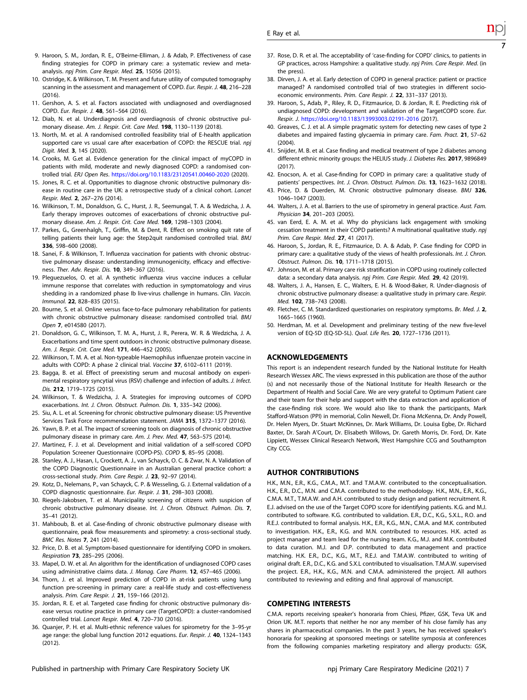- <span id="page-6-0"></span>9. Haroon, S. M., Jordan, R. E., O'Beirne-Elliman, J. & Adab, P. Effectiveness of case finding strategies for COPD in primary care: a systematic review and metaanalysis. npj Prim. Care Respir. Med. 25, 15056 (2015).
- 10. Ostridge, K. & Wilkinson, T. M. Present and future utility of computed tomography scanning in the assessment and management of COPD. Eur. Respir. J. 48, 216–228 (2016).
- 11. Gershon, A. S. et al. Factors associated with undiagnosed and overdiagnosed COPD. Eur. Respir. J. 48, 561–564 (2016).
- 12. Diab, N. et al. Underdiagnosis and overdiagnosis of chronic obstructive pulmonary disease. Am. J. Respir. Crit. Care Med. 198, 1130–1139 (2018).
- 13. North, M. et al. A randomised controlled feasibility trial of E-health application supported care vs usual care after exacerbation of COPD: the RESCUE trial. npi Digit. Med. 3, 145 (2020).
- 14. Crooks, M. G.et al. Evidence generation for the clinical impact of myCOPD in patients with mild, moderate and newly diagnosed COPD: a randomised controlled trial. ERJ Open Res. <https://doi.org/10.1183/23120541.00460-2020> (2020).
- 15. Jones, R. C. et al. Opportunities to diagnose chronic obstructive pulmonary disease in routine care in the UK: a retrospective study of a clinical cohort. Lancet Respir. Med. 2, 267–276 (2014).
- 16. Wilkinson, T. M., Donaldson, G. C., Hurst, J. R., Seemungal, T. A. & Wedzicha, J. A. Early therapy improves outcomes of exacerbations of chronic obstructive pulmonary disease. Am. J. Respir. Crit. Care Med. 169, 1298–1303 (2004).
- 17. Parkes, G., Greenhalgh, T., Griffin, M. & Dent, R. Effect on smoking quit rate of telling patients their lung age: the Step2quit randomised controlled trial. BMJ 336, 598–600 (2008).
- 18. Sanei, F. & Wilkinson, T. Influenza vaccination for patients with chronic obstructive pulmonary disease: understanding immunogenicity, efficacy and effectiveness. Ther. Adv. Respir. Dis. 10, 349–367 (2016).
- 19. Pleguezuelos, O. et al. A synthetic influenza virus vaccine induces a cellular immune response that correlates with reduction in symptomatology and virus shedding in a randomized phase Ib live-virus challenge in humans. Clin. Vaccin. Immunol. 22, 828–835 (2015).
- 20. Bourne, S. et al. Online versus face-to-face pulmonary rehabilitation for patients with chronic obstructive pulmonary disease: randomised controlled trial. BMJ Open 7, e014580 (2017).
- 21. Donaldson, G. C., Wilkinson, T. M. A., Hurst, J. R., Perera, W. R. & Wedzicha, J. A. Exacerbations and time spent outdoors in chronic obstructive pulmonary disease. Am. J. Respir. Crit. Care Med. 171, 446-452 (2005).
- 22. Wilkinson, T. M. A. et al. Non-typeable Haemophilus influenzae protein vaccine in adults with COPD: A phase 2 clinical trial. Vaccine 37, 6102-6111 (2019).
- 23. Bagga, B. et al. Effect of preexisting serum and mucosal antibody on experimental respiratory syncytial virus (RSV) challenge and infection of adults. J. Infect. Dis. 212, 1719–1725 (2015).
- 24. Wilkinson, T. & Wedzicha, J. A. Strategies for improving outcomes of COPD exacerbations. Int. J. Chron. Obstruct. Pulmon. Dis. 1, 335–342 (2006).
- 25. Siu, A. L. et al. Screening for chronic obstructive pulmonary disease: US Preventive Services Task Force recommendation statement. JAMA 315, 1372–1377 (2016).
- 26. Yawn, B. P. et al. The impact of screening tools on diagnosis of chronic obstructive pulmonary disease in primary care. Am. J. Prev. Med. 47, 563–575 (2014).
- 27. Martinez, F. J. et al. Development and initial validation of a self-scored COPD Population Screener Questionnaire (COPD-PS). COPD 5, 85-95 (2008)
- 28. Stanley, A. J., Hasan, I., Crockett, A. J., van Schayck, O. C. & Zwar, N. A. Validation of the COPD Diagnostic Questionnaire in an Australian general practice cohort: a cross-sectional study. Prim. Care Respir. J. 23, 92–97 (2014).
- 29. Kotz, D., Nelemans, P., van Schayck, C. P. & Wesseling, G. J. External validation of a COPD diagnostic questionnaire. Eur. Respir. J. 31, 298–303 (2008).
- 30. Riegels-Jakobsen, T. et al. Municipality screening of citizens with suspicion of chronic obstructive pulmonary disease. Int. J. Chron. Obstruct. Pulmon. Dis. 7, 35–41 (2012).
- 31. Mahboub, B. et al. Case-finding of chronic obstructive pulmonary disease with questionnaire, peak flow measurements and spirometry: a cross-sectional study. BMC Res. Notes 7, 241 (2014).
- 32. Price, D. B. et al. Symptom-based questionnaire for identifying COPD in smokers. Respiration 73, 285–295 (2006).
- 33. Mapel, D. W. et al. An algorithm for the identification of undiagnosed COPD cases using administrative claims data. J. Manag. Care Pharm. 12, 457-465 (2006).
- 34. Thorn, J. et al. Improved prediction of COPD in at-risk patients using lung function pre-screening in primary care: a real-life study and cost-effectiveness analysis. Prim. Care Respir. J. 21, 159–166 (2012).
- 35. Jordan, R. E. et al. Targeted case finding for chronic obstructive pulmonary disease versus routine practice in primary care (TargetCOPD): a cluster-randomised controlled trial. Lancet Respir. Med. 4, 720–730 (2016).
- 36. Quanjer, P. H. et al. Multi-ethnic reference values for spirometry for the 3–95-yr age range: the global lung function 2012 equations. Eur. Respir. J. 40, 1324-1343 (2012).
- 37. Rose, D. R. et al. The acceptability of 'case-finding for COPD' clinics, to patients in GP practices, across Hampshire: a qualitative study. npj Prim. Care Respir. Med. (in the press).
- 38. Dirven, J. A. et al. Early detection of COPD in general practice: patient or practice managed? A randomised controlled trial of two strategies in different socioeconomic environments. Prim. Care Respir. J. 22, 331-337 (2013).
- 39. Haroon, S., Adab, P., Riley, R. D., Fitzmaurice, D. & Jordan, R. E. Predicting risk of undiagnosed COPD: development and validation of the TargetCOPD score. Eur. Respir. J. <https://doi.org/10.1183/13993003.02191-2016> (2017).
- 40. Greaves, C. J. et al. A simple pragmatic system for detecting new cases of type 2 diabetes and impaired fasting glycaemia in primary care. Fam. Pract. 21, 57–62 (2004).
- 41. Snijder, M. B. et al. Case finding and medical treatment of type 2 diabetes among different ethnic minority groups: the HELIUS study. J. Diabetes Res. 2017, 9896849 (2017).
- 42. Enocson, A. et al. Case-finding for COPD in primary care: a qualitative study of patients' perspectives. Int. J. Chron. Obstruct. Pulmon. Dis. 13, 1623–1632 (2018).
- 43. Price, D. & Duerden, M. Chronic obstructive pulmonary disease. BMJ 326, 1046–1047 (2003).
- 44. Walters, J. A. et al. Barriers to the use of spirometry in general practice. Aust. Fam. Physician 34, 201–203 (2005).
- 45. van Eerd, E. A. M. et al. Why do physicians lack engagement with smoking cessation treatment in their COPD patients? A multinational qualitative study. npj Prim. Care Respir. Med. 27, 41 (2017).
- 46. Haroon, S., Jordan, R. E., Fitzmaurice, D. A. & Adab, P. Case finding for COPD in primary care: a qualitative study of the views of health professionals. Int. J. Chron. Obstruct. Pulmon. Dis. 10, 1711–1718 (2015).
- 47. Johnson, M. et al. Primary care risk stratification in COPD using routinely collected data: a secondary data analysis. npj Prim. Care Respir. Med. 29, 42 (2019).
- 48. Walters, J. A., Hansen, E. C., Walters, E. H. & Wood-Baker, R. Under-diagnosis of chronic obstructive pulmonary disease: a qualitative study in primary care. Respir. Med. 102, 738–743 (2008).
- 49. Fletcher, C. M. Standardized questionaries on respiratory symptoms. Br. Med. J. 2, 1665–1665 (1960).
- 50. Herdman, M. et al. Development and preliminary testing of the new five-level version of EQ-5D (EQ-5D-5L). Qual. Life Res. 20, 1727–1736 (2011).

## ACKNOWLEDGEMENTS

This report is an independent research funded by the National Institute for Health Research Wessex ARC. The views expressed in this publication are those of the author (s) and not necessarily those of the National Institute for Health Research or the Department of Health and Social Care. We are very grateful to Optimum Patient care and their team for their help and support with the data extraction and application of the case-finding risk score. We would also like to thank the participants, Mark Stafford-Watson (PPI) in memorial, Colin Newell, Dr. Fiona McKenna, Dr. Andy Powell, Dr. Helen Myers, Dr. Stuart McKinnes, Dr. Mark Williams, Dr. Louisa Egbe, Dr. Richard Baxter, Dr. Sarah A'Court, Dr. Elisabeth Willows, Dr. Gareth Morris, Dr. Ford, Dr. Kate Lippiett, Wessex Clinical Research Network, West Hampshire CCG and Southampton City CCG.

## AUTHOR CONTRIBUTIONS

H.K., M.N., E.R., K.G., C.M.A., M.T. and T.M.A.W. contributed to the conceptualisation. H.K., E.R., D.C., M.N. and C.M.A. contributed to the methodology. H.K., M.N., E.R., K.G., C.M.A. M.T., T.M.A.W. and A.H. contributed to study design and patient recruitment. R. E.J. advised on the use of the Target COPD score for identifying patients. K.G. and M.J. contributed to software. K.G. contributed to validation. E.R., D.C., K.G., S.X.L., R.O. and R.E.J. contributed to formal analysis. H.K., E.R., K.G., M.N., C.M.A. and M.K. contributed to investigation. H.K., E.R., K.G. and M.N. contributed to resources. H.K. acted as project manager and team lead for the nursing team. K.G., M.J. and M.K. contributed to data curation. M.J. and D.P. contributed to data management and practice matching. H.K. E.R., D.C., K.G., M.T., R.E.J. and T.M.A.W. contributed to writing of original draft. E.R., D.C., K.G. and S.X.L contributed to visualisation. T.M.A.W. supervised the project. E.R., H.K., K.G., M.N. and C.M.A. administered the project. All authors contributed to reviewing and editing and final approval of manuscript.

## COMPETING INTERESTS

C.M.A. reports receiving speaker's honoraria from Chiesi, Pfizer, GSK, Teva UK and Orion UK. M.T. reports that neither he nor any member of his close family has any shares in pharmaceutical companies. In the past 3 years, he has received speaker's honoraria for speaking at sponsored meetings or satellite symposia at conferences from the following companies marketing respiratory and allergy products: GSK,